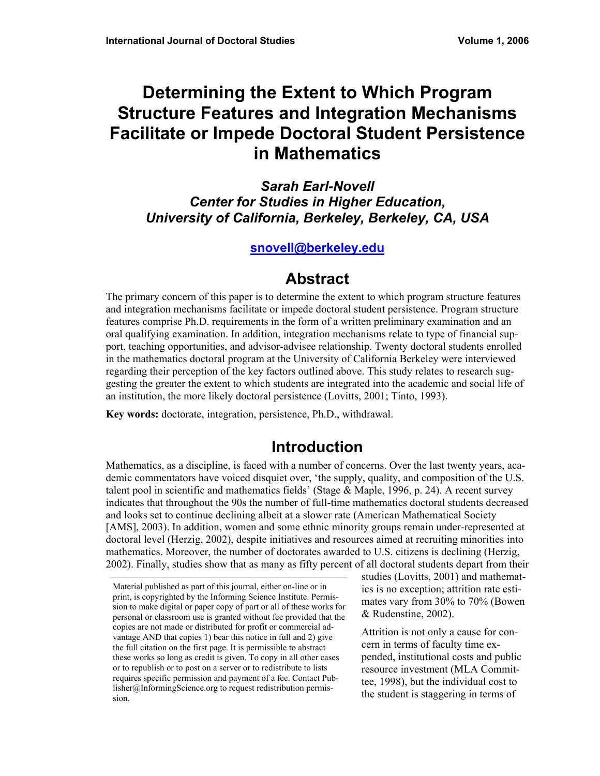# **Determining the Extent to Which Program Structure Features and Integration Mechanisms Facilitate or Impede Doctoral Student Persistence in Mathematics**

*Sarah Earl-Novell Center for Studies in Higher Education, University of California, Berkeley, Berkeley, CA, USA* 

#### **snovell@berkeley.edu**

## **Abstract**

The primary concern of this paper is to determine the extent to which program structure features and integration mechanisms facilitate or impede doctoral student persistence. Program structure features comprise Ph.D. requirements in the form of a written preliminary examination and an oral qualifying examination. In addition, integration mechanisms relate to type of financial support, teaching opportunities, and advisor-advisee relationship. Twenty doctoral students enrolled in the mathematics doctoral program at the University of California Berkeley were interviewed regarding their perception of the key factors outlined above. This study relates to research suggesting the greater the extent to which students are integrated into the academic and social life of an institution, the more likely doctoral persistence (Lovitts, 2001; Tinto, 1993).

**Key words:** doctorate, integration, persistence, Ph.D., withdrawal.

# **Introduction**

Mathematics, as a discipline, is faced with a number of concerns. Over the last twenty years, academic commentators have voiced disquiet over, 'the supply, quality, and composition of the U.S. talent pool in scientific and mathematics fields' (Stage & Maple, 1996, p. 24). A recent survey indicates that throughout the 90s the number of full-time mathematics doctoral students decreased and looks set to continue declining albeit at a slower rate (American Mathematical Society [AMS], 2003). In addition, women and some ethnic minority groups remain under-represented at doctoral level (Herzig, 2002), despite initiatives and resources aimed at recruiting minorities into mathematics. Moreover, the number of doctorates awarded to U.S. citizens is declining (Herzig, 2002). Finally, studies show that as many as fifty percent of all doctoral students depart from their

studies (Lovitts, 2001) and mathematics is no exception; attrition rate estimates vary from 30% to 70% (Bowen & Rudenstine, 2002).

Attrition is not only a cause for concern in terms of faculty time expended, institutional costs and public resource investment (MLA Committee, 1998), but the individual cost to the student is staggering in terms of

Material published as part of this journal, either on-line or in print, is copyrighted by the Informing Science Institute. Permission to make digital or paper copy of part or all of these works for personal or classroom use is granted without fee provided that the copies are not made or distributed for profit or commercial advantage AND that copies 1) bear this notice in full and 2) give the full citation on the first page. It is permissible to abstract these works so long as credit is given. To copy in all other cases or to republish or to post on a server or to redistribute to lists requires specific permission and payment of a fee. Contact Publisher@InformingScience.org to request redistribution permission.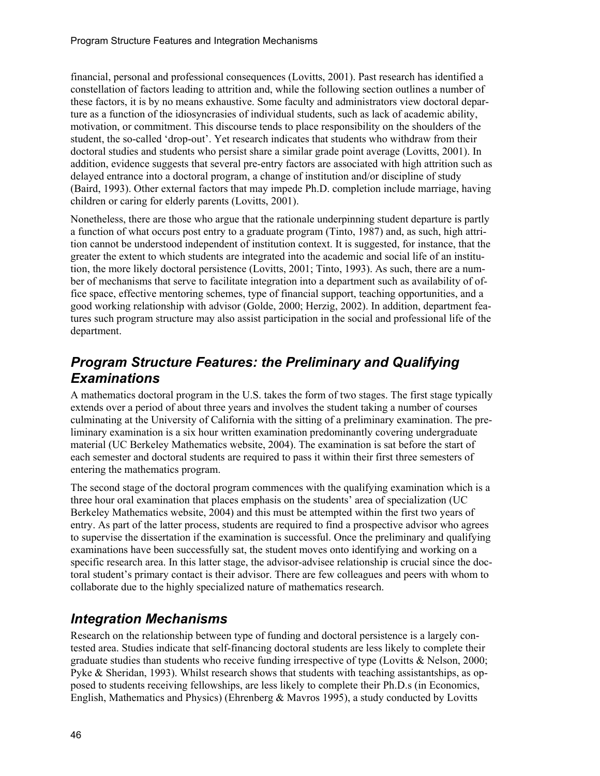financial, personal and professional consequences (Lovitts, 2001). Past research has identified a constellation of factors leading to attrition and, while the following section outlines a number of these factors, it is by no means exhaustive. Some faculty and administrators view doctoral departure as a function of the idiosyncrasies of individual students, such as lack of academic ability, motivation, or commitment. This discourse tends to place responsibility on the shoulders of the student, the so-called 'drop-out'. Yet research indicates that students who withdraw from their doctoral studies and students who persist share a similar grade point average (Lovitts, 2001). In addition, evidence suggests that several pre-entry factors are associated with high attrition such as delayed entrance into a doctoral program, a change of institution and/or discipline of study (Baird, 1993). Other external factors that may impede Ph.D. completion include marriage, having children or caring for elderly parents (Lovitts, 2001).

Nonetheless, there are those who argue that the rationale underpinning student departure is partly a function of what occurs post entry to a graduate program (Tinto, 1987) and, as such, high attrition cannot be understood independent of institution context. It is suggested, for instance, that the greater the extent to which students are integrated into the academic and social life of an institution, the more likely doctoral persistence (Lovitts, 2001; Tinto, 1993). As such, there are a number of mechanisms that serve to facilitate integration into a department such as availability of office space, effective mentoring schemes, type of financial support, teaching opportunities, and a good working relationship with advisor (Golde, 2000; Herzig, 2002). In addition, department features such program structure may also assist participation in the social and professional life of the department.

### *Program Structure Features: the Preliminary and Qualifying Examinations*

A mathematics doctoral program in the U.S. takes the form of two stages. The first stage typically extends over a period of about three years and involves the student taking a number of courses culminating at the University of California with the sitting of a preliminary examination. The preliminary examination is a six hour written examination predominantly covering undergraduate material (UC Berkeley Mathematics website, 2004). The examination is sat before the start of each semester and doctoral students are required to pass it within their first three semesters of entering the mathematics program.

The second stage of the doctoral program commences with the qualifying examination which is a three hour oral examination that places emphasis on the students' area of specialization (UC Berkeley Mathematics website, 2004) and this must be attempted within the first two years of entry. As part of the latter process, students are required to find a prospective advisor who agrees to supervise the dissertation if the examination is successful. Once the preliminary and qualifying examinations have been successfully sat, the student moves onto identifying and working on a specific research area. In this latter stage, the advisor-advisee relationship is crucial since the doctoral student's primary contact is their advisor. There are few colleagues and peers with whom to collaborate due to the highly specialized nature of mathematics research.

### *Integration Mechanisms*

Research on the relationship between type of funding and doctoral persistence is a largely contested area. Studies indicate that self-financing doctoral students are less likely to complete their graduate studies than students who receive funding irrespective of type (Lovitts & Nelson, 2000; Pyke & Sheridan, 1993). Whilst research shows that students with teaching assistantships, as opposed to students receiving fellowships, are less likely to complete their Ph.D.s (in Economics, English, Mathematics and Physics) (Ehrenberg & Mavros 1995), a study conducted by Lovitts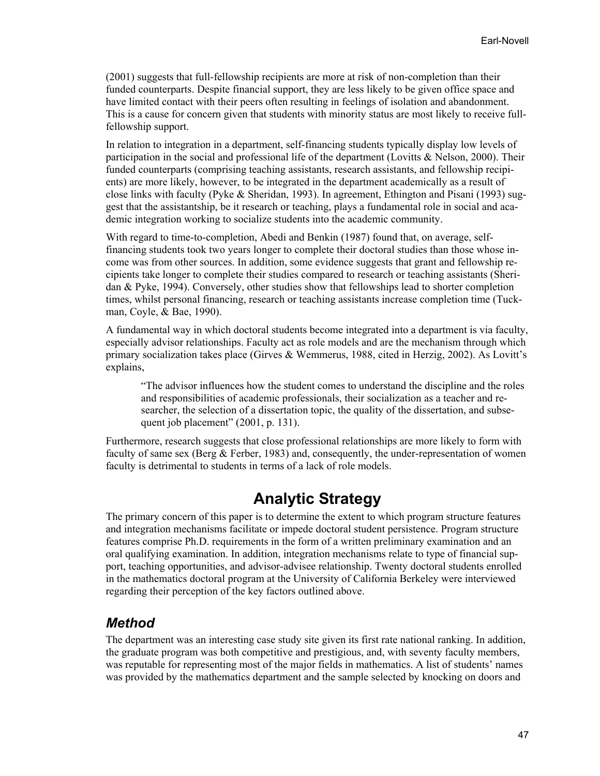(2001) suggests that full-fellowship recipients are more at risk of non-completion than their funded counterparts. Despite financial support, they are less likely to be given office space and have limited contact with their peers often resulting in feelings of isolation and abandonment. This is a cause for concern given that students with minority status are most likely to receive fullfellowship support.

In relation to integration in a department, self-financing students typically display low levels of participation in the social and professional life of the department (Lovitts & Nelson, 2000). Their funded counterparts (comprising teaching assistants, research assistants, and fellowship recipients) are more likely, however, to be integrated in the department academically as a result of close links with faculty (Pyke & Sheridan, 1993). In agreement, Ethington and Pisani (1993) suggest that the assistantship, be it research or teaching, plays a fundamental role in social and academic integration working to socialize students into the academic community.

With regard to time-to-completion, Abedi and Benkin (1987) found that, on average, selffinancing students took two years longer to complete their doctoral studies than those whose income was from other sources. In addition, some evidence suggests that grant and fellowship recipients take longer to complete their studies compared to research or teaching assistants (Sheridan & Pyke, 1994). Conversely, other studies show that fellowships lead to shorter completion times, whilst personal financing, research or teaching assistants increase completion time (Tuckman, Coyle, & Bae, 1990).

A fundamental way in which doctoral students become integrated into a department is via faculty, especially advisor relationships. Faculty act as role models and are the mechanism through which primary socialization takes place (Girves & Wemmerus, 1988, cited in Herzig, 2002). As Lovitt's explains,

"The advisor influences how the student comes to understand the discipline and the roles and responsibilities of academic professionals, their socialization as a teacher and researcher, the selection of a dissertation topic, the quality of the dissertation, and subsequent job placement" (2001, p. 131).

Furthermore, research suggests that close professional relationships are more likely to form with faculty of same sex (Berg & Ferber, 1983) and, consequently, the under-representation of women faculty is detrimental to students in terms of a lack of role models.

## **Analytic Strategy**

The primary concern of this paper is to determine the extent to which program structure features and integration mechanisms facilitate or impede doctoral student persistence. Program structure features comprise Ph.D. requirements in the form of a written preliminary examination and an oral qualifying examination. In addition, integration mechanisms relate to type of financial support, teaching opportunities, and advisor-advisee relationship. Twenty doctoral students enrolled in the mathematics doctoral program at the University of California Berkeley were interviewed regarding their perception of the key factors outlined above.

#### *Method*

The department was an interesting case study site given its first rate national ranking. In addition, the graduate program was both competitive and prestigious, and, with seventy faculty members, was reputable for representing most of the major fields in mathematics. A list of students' names was provided by the mathematics department and the sample selected by knocking on doors and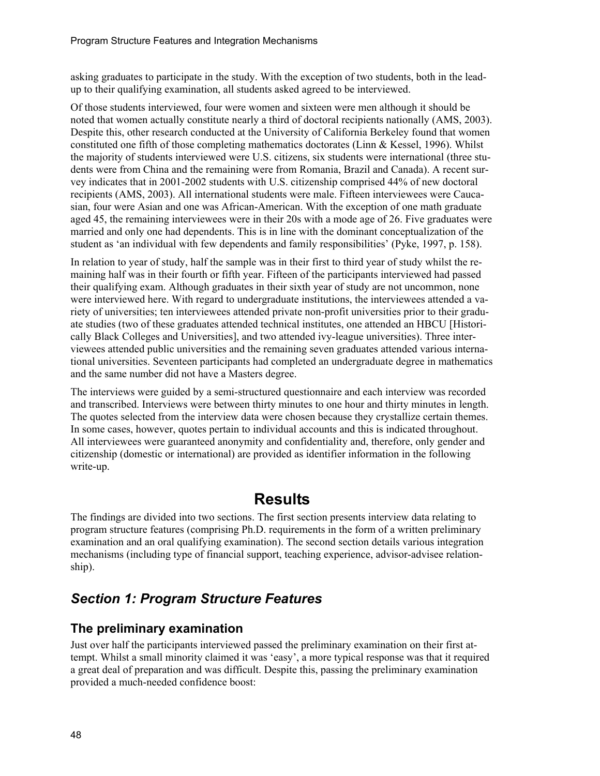asking graduates to participate in the study. With the exception of two students, both in the leadup to their qualifying examination, all students asked agreed to be interviewed.

Of those students interviewed, four were women and sixteen were men although it should be noted that women actually constitute nearly a third of doctoral recipients nationally (AMS, 2003). Despite this, other research conducted at the University of California Berkeley found that women constituted one fifth of those completing mathematics doctorates (Linn & Kessel, 1996). Whilst the majority of students interviewed were U.S. citizens, six students were international (three students were from China and the remaining were from Romania, Brazil and Canada). A recent survey indicates that in 2001-2002 students with U.S. citizenship comprised 44% of new doctoral recipients (AMS, 2003). All international students were male. Fifteen interviewees were Caucasian, four were Asian and one was African-American. With the exception of one math graduate aged 45, the remaining interviewees were in their 20s with a mode age of 26. Five graduates were married and only one had dependents. This is in line with the dominant conceptualization of the student as 'an individual with few dependents and family responsibilities' (Pyke, 1997, p. 158).

In relation to year of study, half the sample was in their first to third year of study whilst the remaining half was in their fourth or fifth year. Fifteen of the participants interviewed had passed their qualifying exam. Although graduates in their sixth year of study are not uncommon, none were interviewed here. With regard to undergraduate institutions, the interviewees attended a variety of universities; ten interviewees attended private non-profit universities prior to their graduate studies (two of these graduates attended technical institutes, one attended an HBCU [Historically Black Colleges and Universities], and two attended ivy-league universities). Three interviewees attended public universities and the remaining seven graduates attended various international universities. Seventeen participants had completed an undergraduate degree in mathematics and the same number did not have a Masters degree.

The interviews were guided by a semi-structured questionnaire and each interview was recorded and transcribed. Interviews were between thirty minutes to one hour and thirty minutes in length. The quotes selected from the interview data were chosen because they crystallize certain themes. In some cases, however, quotes pertain to individual accounts and this is indicated throughout. All interviewees were guaranteed anonymity and confidentiality and, therefore, only gender and citizenship (domestic or international) are provided as identifier information in the following write-up.

### **Results**

The findings are divided into two sections. The first section presents interview data relating to program structure features (comprising Ph.D. requirements in the form of a written preliminary examination and an oral qualifying examination). The second section details various integration mechanisms (including type of financial support, teaching experience, advisor-advisee relationship).

### *Section 1: Program Structure Features*

#### **The preliminary examination**

Just over half the participants interviewed passed the preliminary examination on their first attempt. Whilst a small minority claimed it was 'easy', a more typical response was that it required a great deal of preparation and was difficult. Despite this, passing the preliminary examination provided a much-needed confidence boost: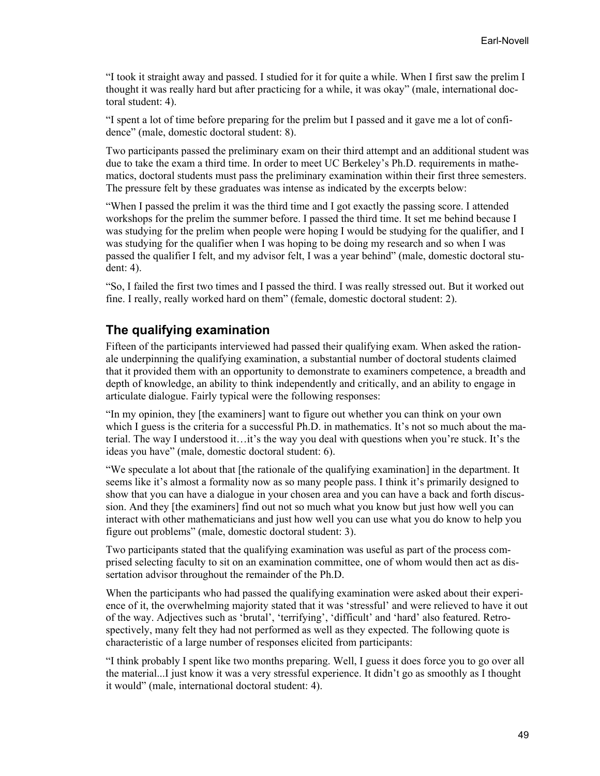"I took it straight away and passed. I studied for it for quite a while. When I first saw the prelim I thought it was really hard but after practicing for a while, it was okay" (male, international doctoral student: 4).

"I spent a lot of time before preparing for the prelim but I passed and it gave me a lot of confidence" (male, domestic doctoral student: 8).

Two participants passed the preliminary exam on their third attempt and an additional student was due to take the exam a third time. In order to meet UC Berkeley's Ph.D. requirements in mathematics, doctoral students must pass the preliminary examination within their first three semesters. The pressure felt by these graduates was intense as indicated by the excerpts below:

"When I passed the prelim it was the third time and I got exactly the passing score. I attended workshops for the prelim the summer before. I passed the third time. It set me behind because I was studying for the prelim when people were hoping I would be studying for the qualifier, and I was studying for the qualifier when I was hoping to be doing my research and so when I was passed the qualifier I felt, and my advisor felt, I was a year behind" (male, domestic doctoral student: 4).

"So, I failed the first two times and I passed the third. I was really stressed out. But it worked out fine. I really, really worked hard on them" (female, domestic doctoral student: 2).

#### **The qualifying examination**

Fifteen of the participants interviewed had passed their qualifying exam. When asked the rationale underpinning the qualifying examination, a substantial number of doctoral students claimed that it provided them with an opportunity to demonstrate to examiners competence, a breadth and depth of knowledge, an ability to think independently and critically, and an ability to engage in articulate dialogue. Fairly typical were the following responses:

"In my opinion, they [the examiners] want to figure out whether you can think on your own which I guess is the criteria for a successful Ph.D. in mathematics. It's not so much about the material. The way I understood it…it's the way you deal with questions when you're stuck. It's the ideas you have" (male, domestic doctoral student: 6).

"We speculate a lot about that [the rationale of the qualifying examination] in the department. It seems like it's almost a formality now as so many people pass. I think it's primarily designed to show that you can have a dialogue in your chosen area and you can have a back and forth discussion. And they [the examiners] find out not so much what you know but just how well you can interact with other mathematicians and just how well you can use what you do know to help you figure out problems" (male, domestic doctoral student: 3).

Two participants stated that the qualifying examination was useful as part of the process comprised selecting faculty to sit on an examination committee, one of whom would then act as dissertation advisor throughout the remainder of the Ph.D.

When the participants who had passed the qualifying examination were asked about their experience of it, the overwhelming majority stated that it was 'stressful' and were relieved to have it out of the way. Adjectives such as 'brutal', 'terrifying', 'difficult' and 'hard' also featured. Retrospectively, many felt they had not performed as well as they expected. The following quote is characteristic of a large number of responses elicited from participants:

"I think probably I spent like two months preparing. Well, I guess it does force you to go over all the material...I just know it was a very stressful experience. It didn't go as smoothly as I thought it would" (male, international doctoral student: 4).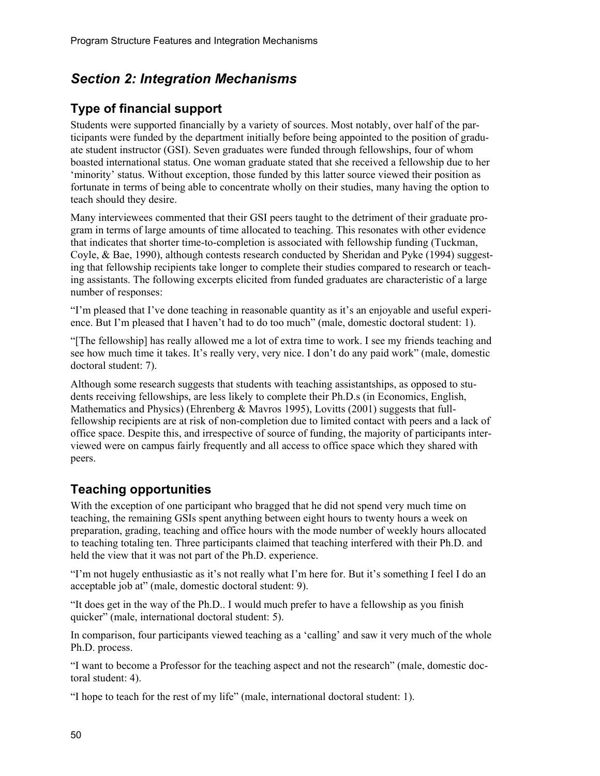### *Section 2: Integration Mechanisms*

### **Type of financial support**

Students were supported financially by a variety of sources. Most notably, over half of the participants were funded by the department initially before being appointed to the position of graduate student instructor (GSI). Seven graduates were funded through fellowships, four of whom boasted international status. One woman graduate stated that she received a fellowship due to her 'minority' status. Without exception, those funded by this latter source viewed their position as fortunate in terms of being able to concentrate wholly on their studies, many having the option to teach should they desire.

Many interviewees commented that their GSI peers taught to the detriment of their graduate program in terms of large amounts of time allocated to teaching. This resonates with other evidence that indicates that shorter time-to-completion is associated with fellowship funding (Tuckman, Coyle, & Bae, 1990), although contests research conducted by Sheridan and Pyke (1994) suggesting that fellowship recipients take longer to complete their studies compared to research or teaching assistants. The following excerpts elicited from funded graduates are characteristic of a large number of responses:

"I'm pleased that I've done teaching in reasonable quantity as it's an enjoyable and useful experience. But I'm pleased that I haven't had to do too much" (male, domestic doctoral student: 1).

"[The fellowship] has really allowed me a lot of extra time to work. I see my friends teaching and see how much time it takes. It's really very, very nice. I don't do any paid work" (male, domestic doctoral student: 7).

Although some research suggests that students with teaching assistantships, as opposed to students receiving fellowships, are less likely to complete their Ph.D.s (in Economics, English, Mathematics and Physics) (Ehrenberg & Mayros 1995), Lovitts (2001) suggests that fullfellowship recipients are at risk of non-completion due to limited contact with peers and a lack of office space. Despite this, and irrespective of source of funding, the majority of participants interviewed were on campus fairly frequently and all access to office space which they shared with peers.

### **Teaching opportunities**

With the exception of one participant who bragged that he did not spend very much time on teaching, the remaining GSIs spent anything between eight hours to twenty hours a week on preparation, grading, teaching and office hours with the mode number of weekly hours allocated to teaching totaling ten. Three participants claimed that teaching interfered with their Ph.D. and held the view that it was not part of the Ph.D. experience.

"I'm not hugely enthusiastic as it's not really what I'm here for. But it's something I feel I do an acceptable job at" (male, domestic doctoral student: 9).

"It does get in the way of the Ph.D.. I would much prefer to have a fellowship as you finish quicker" (male, international doctoral student: 5).

In comparison, four participants viewed teaching as a 'calling' and saw it very much of the whole Ph.D. process.

"I want to become a Professor for the teaching aspect and not the research" (male, domestic doctoral student: 4).

"I hope to teach for the rest of my life" (male, international doctoral student: 1).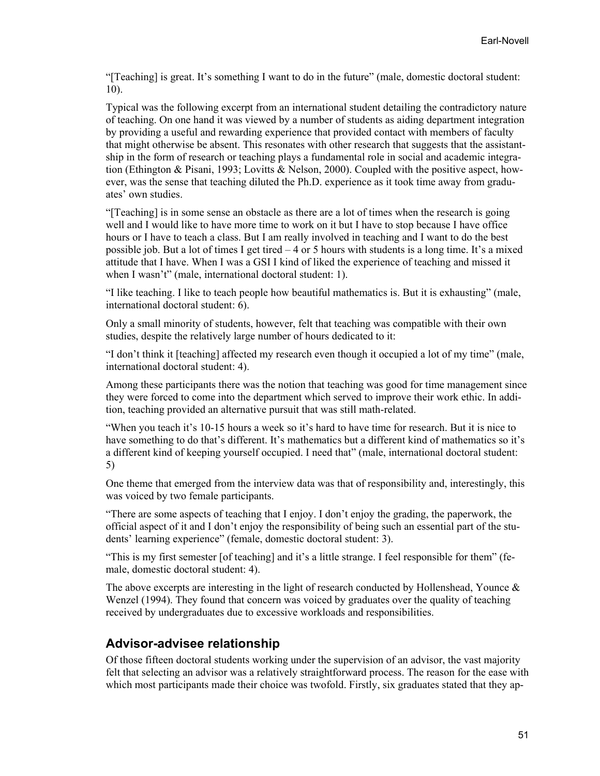"[Teaching] is great. It's something I want to do in the future" (male, domestic doctoral student: 10).

Typical was the following excerpt from an international student detailing the contradictory nature of teaching. On one hand it was viewed by a number of students as aiding department integration by providing a useful and rewarding experience that provided contact with members of faculty that might otherwise be absent. This resonates with other research that suggests that the assistantship in the form of research or teaching plays a fundamental role in social and academic integration (Ethington & Pisani, 1993; Lovitts & Nelson, 2000). Coupled with the positive aspect, however, was the sense that teaching diluted the Ph.D. experience as it took time away from graduates' own studies.

"[Teaching] is in some sense an obstacle as there are a lot of times when the research is going well and I would like to have more time to work on it but I have to stop because I have office hours or I have to teach a class. But I am really involved in teaching and I want to do the best possible job. But a lot of times I get tired – 4 or 5 hours with students is a long time. It's a mixed attitude that I have. When I was a GSI I kind of liked the experience of teaching and missed it when I wasn't" (male, international doctoral student: 1).

"I like teaching. I like to teach people how beautiful mathematics is. But it is exhausting" (male, international doctoral student: 6).

Only a small minority of students, however, felt that teaching was compatible with their own studies, despite the relatively large number of hours dedicated to it:

"I don't think it [teaching] affected my research even though it occupied a lot of my time" (male, international doctoral student: 4).

Among these participants there was the notion that teaching was good for time management since they were forced to come into the department which served to improve their work ethic. In addition, teaching provided an alternative pursuit that was still math-related.

"When you teach it's 10-15 hours a week so it's hard to have time for research. But it is nice to have something to do that's different. It's mathematics but a different kind of mathematics so it's a different kind of keeping yourself occupied. I need that" (male, international doctoral student: 5)

One theme that emerged from the interview data was that of responsibility and, interestingly, this was voiced by two female participants.

"There are some aspects of teaching that I enjoy. I don't enjoy the grading, the paperwork, the official aspect of it and I don't enjoy the responsibility of being such an essential part of the students' learning experience" (female, domestic doctoral student: 3).

"This is my first semester [of teaching] and it's a little strange. I feel responsible for them" (female, domestic doctoral student: 4).

The above excerpts are interesting in the light of research conducted by Hollenshead, Younce  $\&$ Wenzel (1994). They found that concern was voiced by graduates over the quality of teaching received by undergraduates due to excessive workloads and responsibilities.

#### **Advisor-advisee relationship**

Of those fifteen doctoral students working under the supervision of an advisor, the vast majority felt that selecting an advisor was a relatively straightforward process. The reason for the ease with which most participants made their choice was twofold. Firstly, six graduates stated that they ap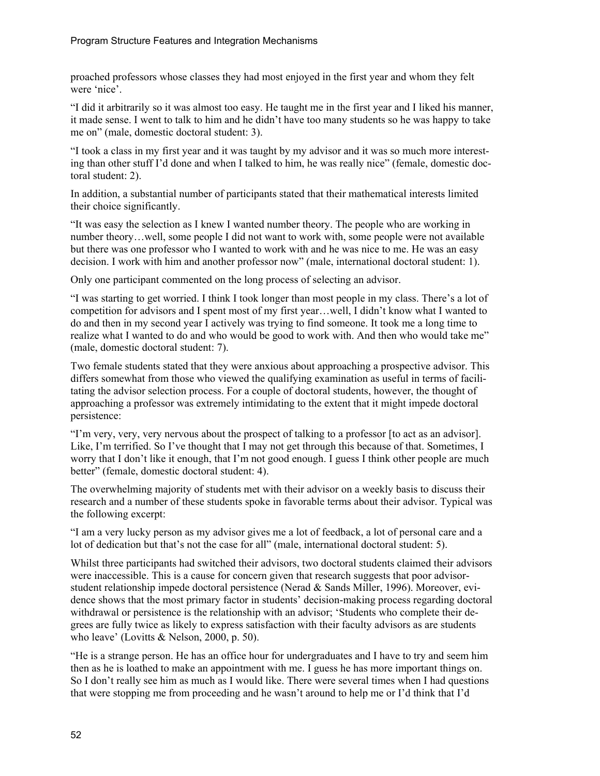proached professors whose classes they had most enjoyed in the first year and whom they felt were 'nice'.

"I did it arbitrarily so it was almost too easy. He taught me in the first year and I liked his manner, it made sense. I went to talk to him and he didn't have too many students so he was happy to take me on" (male, domestic doctoral student: 3).

"I took a class in my first year and it was taught by my advisor and it was so much more interesting than other stuff I'd done and when I talked to him, he was really nice" (female, domestic doctoral student: 2).

In addition, a substantial number of participants stated that their mathematical interests limited their choice significantly.

"It was easy the selection as I knew I wanted number theory. The people who are working in number theory…well, some people I did not want to work with, some people were not available but there was one professor who I wanted to work with and he was nice to me. He was an easy decision. I work with him and another professor now" (male, international doctoral student: 1).

Only one participant commented on the long process of selecting an advisor.

"I was starting to get worried. I think I took longer than most people in my class. There's a lot of competition for advisors and I spent most of my first year…well, I didn't know what I wanted to do and then in my second year I actively was trying to find someone. It took me a long time to realize what I wanted to do and who would be good to work with. And then who would take me" (male, domestic doctoral student: 7).

Two female students stated that they were anxious about approaching a prospective advisor. This differs somewhat from those who viewed the qualifying examination as useful in terms of facilitating the advisor selection process. For a couple of doctoral students, however, the thought of approaching a professor was extremely intimidating to the extent that it might impede doctoral persistence:

"I'm very, very, very nervous about the prospect of talking to a professor [to act as an advisor]. Like, I'm terrified. So I've thought that I may not get through this because of that. Sometimes, I worry that I don't like it enough, that I'm not good enough. I guess I think other people are much better" (female, domestic doctoral student: 4).

The overwhelming majority of students met with their advisor on a weekly basis to discuss their research and a number of these students spoke in favorable terms about their advisor. Typical was the following excerpt:

"I am a very lucky person as my advisor gives me a lot of feedback, a lot of personal care and a lot of dedication but that's not the case for all" (male, international doctoral student: 5).

Whilst three participants had switched their advisors, two doctoral students claimed their advisors were inaccessible. This is a cause for concern given that research suggests that poor advisorstudent relationship impede doctoral persistence (Nerad & Sands Miller, 1996). Moreover, evidence shows that the most primary factor in students' decision-making process regarding doctoral withdrawal or persistence is the relationship with an advisor; 'Students who complete their degrees are fully twice as likely to express satisfaction with their faculty advisors as are students who leave' (Lovitts & Nelson, 2000, p. 50).

"He is a strange person. He has an office hour for undergraduates and I have to try and seem him then as he is loathed to make an appointment with me. I guess he has more important things on. So I don't really see him as much as I would like. There were several times when I had questions that were stopping me from proceeding and he wasn't around to help me or I'd think that I'd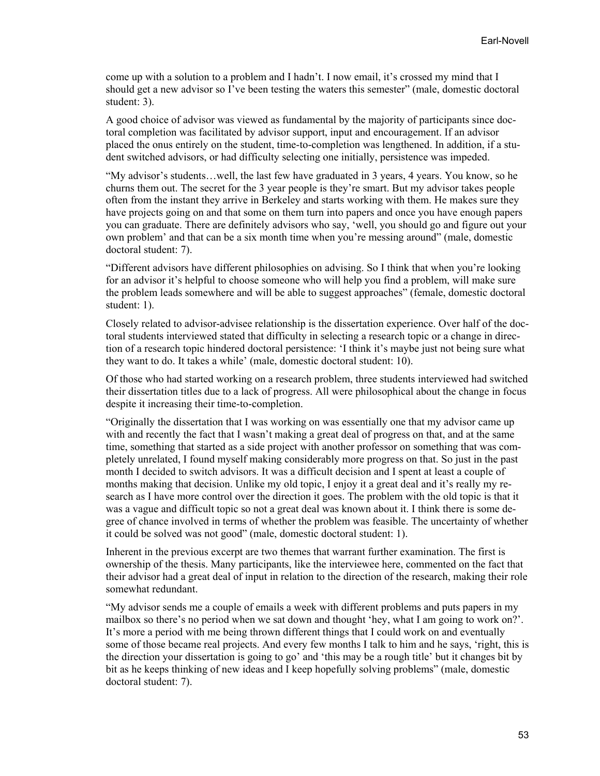come up with a solution to a problem and I hadn't. I now email, it's crossed my mind that I should get a new advisor so I've been testing the waters this semester" (male, domestic doctoral student: 3).

A good choice of advisor was viewed as fundamental by the majority of participants since doctoral completion was facilitated by advisor support, input and encouragement. If an advisor placed the onus entirely on the student, time-to-completion was lengthened. In addition, if a student switched advisors, or had difficulty selecting one initially, persistence was impeded.

"My advisor's students…well, the last few have graduated in 3 years, 4 years. You know, so he churns them out. The secret for the 3 year people is they're smart. But my advisor takes people often from the instant they arrive in Berkeley and starts working with them. He makes sure they have projects going on and that some on them turn into papers and once you have enough papers you can graduate. There are definitely advisors who say, 'well, you should go and figure out your own problem' and that can be a six month time when you're messing around" (male, domestic doctoral student: 7).

"Different advisors have different philosophies on advising. So I think that when you're looking for an advisor it's helpful to choose someone who will help you find a problem, will make sure the problem leads somewhere and will be able to suggest approaches" (female, domestic doctoral student: 1).

Closely related to advisor-advisee relationship is the dissertation experience. Over half of the doctoral students interviewed stated that difficulty in selecting a research topic or a change in direction of a research topic hindered doctoral persistence: 'I think it's maybe just not being sure what they want to do. It takes a while' (male, domestic doctoral student: 10).

Of those who had started working on a research problem, three students interviewed had switched their dissertation titles due to a lack of progress. All were philosophical about the change in focus despite it increasing their time-to-completion.

"Originally the dissertation that I was working on was essentially one that my advisor came up with and recently the fact that I wasn't making a great deal of progress on that, and at the same time, something that started as a side project with another professor on something that was completely unrelated, I found myself making considerably more progress on that. So just in the past month I decided to switch advisors. It was a difficult decision and I spent at least a couple of months making that decision. Unlike my old topic, I enjoy it a great deal and it's really my research as I have more control over the direction it goes. The problem with the old topic is that it was a vague and difficult topic so not a great deal was known about it. I think there is some degree of chance involved in terms of whether the problem was feasible. The uncertainty of whether it could be solved was not good" (male, domestic doctoral student: 1).

Inherent in the previous excerpt are two themes that warrant further examination. The first is ownership of the thesis. Many participants, like the interviewee here, commented on the fact that their advisor had a great deal of input in relation to the direction of the research, making their role somewhat redundant.

"My advisor sends me a couple of emails a week with different problems and puts papers in my mailbox so there's no period when we sat down and thought 'hey, what I am going to work on?'. It's more a period with me being thrown different things that I could work on and eventually some of those became real projects. And every few months I talk to him and he says, 'right, this is the direction your dissertation is going to go' and 'this may be a rough title' but it changes bit by bit as he keeps thinking of new ideas and I keep hopefully solving problems" (male, domestic doctoral student: 7).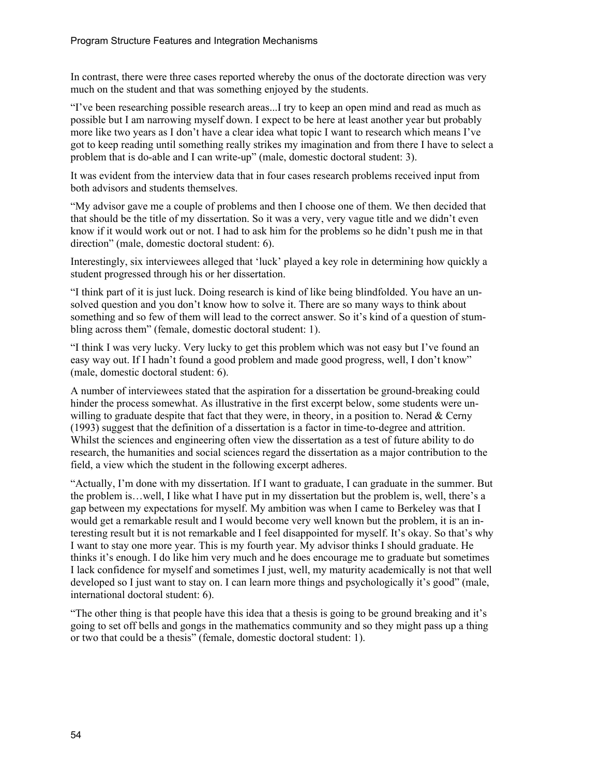In contrast, there were three cases reported whereby the onus of the doctorate direction was very much on the student and that was something enjoyed by the students.

"I've been researching possible research areas...I try to keep an open mind and read as much as possible but I am narrowing myself down. I expect to be here at least another year but probably more like two years as I don't have a clear idea what topic I want to research which means I've got to keep reading until something really strikes my imagination and from there I have to select a problem that is do-able and I can write-up" (male, domestic doctoral student: 3).

It was evident from the interview data that in four cases research problems received input from both advisors and students themselves.

"My advisor gave me a couple of problems and then I choose one of them. We then decided that that should be the title of my dissertation. So it was a very, very vague title and we didn't even know if it would work out or not. I had to ask him for the problems so he didn't push me in that direction" (male, domestic doctoral student: 6).

Interestingly, six interviewees alleged that 'luck' played a key role in determining how quickly a student progressed through his or her dissertation.

"I think part of it is just luck. Doing research is kind of like being blindfolded. You have an unsolved question and you don't know how to solve it. There are so many ways to think about something and so few of them will lead to the correct answer. So it's kind of a question of stumbling across them" (female, domestic doctoral student: 1).

"I think I was very lucky. Very lucky to get this problem which was not easy but I've found an easy way out. If I hadn't found a good problem and made good progress, well, I don't know" (male, domestic doctoral student: 6).

A number of interviewees stated that the aspiration for a dissertation be ground-breaking could hinder the process somewhat. As illustrative in the first excerpt below, some students were unwilling to graduate despite that fact that they were, in theory, in a position to. Nerad  $&$  Cerny (1993) suggest that the definition of a dissertation is a factor in time-to-degree and attrition. Whilst the sciences and engineering often view the dissertation as a test of future ability to do research, the humanities and social sciences regard the dissertation as a major contribution to the field, a view which the student in the following excerpt adheres.

"Actually, I'm done with my dissertation. If I want to graduate, I can graduate in the summer. But the problem is…well, I like what I have put in my dissertation but the problem is, well, there's a gap between my expectations for myself. My ambition was when I came to Berkeley was that I would get a remarkable result and I would become very well known but the problem, it is an interesting result but it is not remarkable and I feel disappointed for myself. It's okay. So that's why I want to stay one more year. This is my fourth year. My advisor thinks I should graduate. He thinks it's enough. I do like him very much and he does encourage me to graduate but sometimes I lack confidence for myself and sometimes I just, well, my maturity academically is not that well developed so I just want to stay on. I can learn more things and psychologically it's good" (male, international doctoral student: 6).

"The other thing is that people have this idea that a thesis is going to be ground breaking and it's going to set off bells and gongs in the mathematics community and so they might pass up a thing or two that could be a thesis" (female, domestic doctoral student: 1).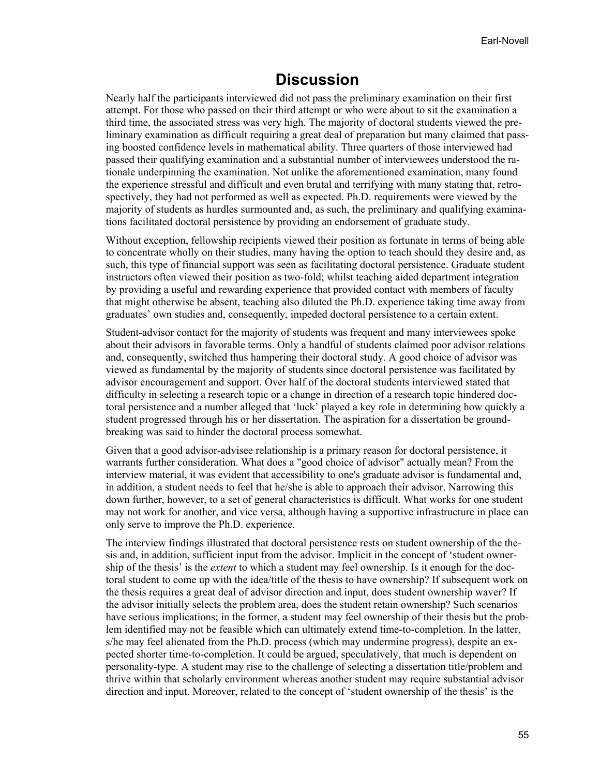### **Discussion**

Nearly half the participants interviewed did not pass the preliminary examination on their first attempt. For those who passed on their third attempt or who were about to sit the examination a third time, the associated stress was very high. The majority of doctoral students viewed the preliminary examination as difficult requiring a great deal of preparation but many claimed that passing boosted confidence levels in mathematical ability. Three quarters of those interviewed had passed their qualifying examination and a substantial number of interviewees understood the rationale underpinning the examination. Not unlike the aforementioned examination, many found the experience stressful and difficult and even brutal and terrifying with many stating that, retrospectively, they had not performed as well as expected. Ph.D. requirements were viewed by the majority of students as hurdles surmounted and, as such, the preliminary and qualifying examinations facilitated doctoral persistence by providing an endorsement of graduate study.

Without exception, fellowship recipients viewed their position as fortunate in terms of being able to concentrate wholly on their studies, many having the option to teach should they desire and, as such, this type of financial support was seen as facilitating doctoral persistence. Graduate student instructors often viewed their position as two-fold; whilst teaching aided department integration by providing a useful and rewarding experience that provided contact with members of faculty that might otherwise be absent, teaching also diluted the Ph.D. experience taking time away from graduates' own studies and, consequently, impeded doctoral persistence to a certain extent.

Student-advisor contact for the majority of students was frequent and many interviewees spoke about their advisors in favorable terms. Only a handful of students claimed poor advisor relations and, consequently, switched thus hampering their doctoral study. A good choice of advisor was viewed as fundamental by the majority of students since doctoral persistence was facilitated by advisor encouragement and support. Over half of the doctoral students interviewed stated that difficulty in selecting a research topic or a change in direction of a research topic hindered doctoral persistence and a number alleged that 'luck' played a key role in determining how quickly a student progressed through his or her dissertation. The aspiration for a dissertation be groundbreaking was said to hinder the doctoral process somewhat.

Given that a good advisor-advisee relationship is a primary reason for doctoral persistence, it warrants further consideration. What does a "good choice of advisor" actually mean? From the interview material, it was evident that accessibility to one's graduate advisor is fundamental and, in addition, a student needs to feel that he/she is able to approach their advisor. Narrowing this down further, however, to a set of general characteristics is difficult. What works for one student may not work for another, and vice versa, although having a supportive infrastructure in place can only serve to improve the Ph.D. experience.

The interview findings illustrated that doctoral persistence rests on student ownership of the thesis and, in addition, sufficient input from the advisor. Implicit in the concept of 'student ownership of the thesis' is the *extent* to which a student may feel ownership. Is it enough for the doctoral student to come up with the idea/title of the thesis to have ownership? If subsequent work on the thesis requires a great deal of advisor direction and input, does student ownership waver? If the advisor initially selects the problem area, does the student retain ownership? Such scenarios have serious implications; in the former, a student may feel ownership of their thesis but the problem identified may not be feasible which can ultimately extend time-to-completion. In the latter, s/he may feel alienated from the Ph.D. process (which may undermine progress), despite an expected shorter time-to-completion. It could be argued, speculatively, that much is dependent on personality-type. A student may rise to the challenge of selecting a dissertation title/problem and thrive within that scholarly environment whereas another student may require substantial advisor direction and input. Moreover, related to the concept of 'student ownership of the thesis' is the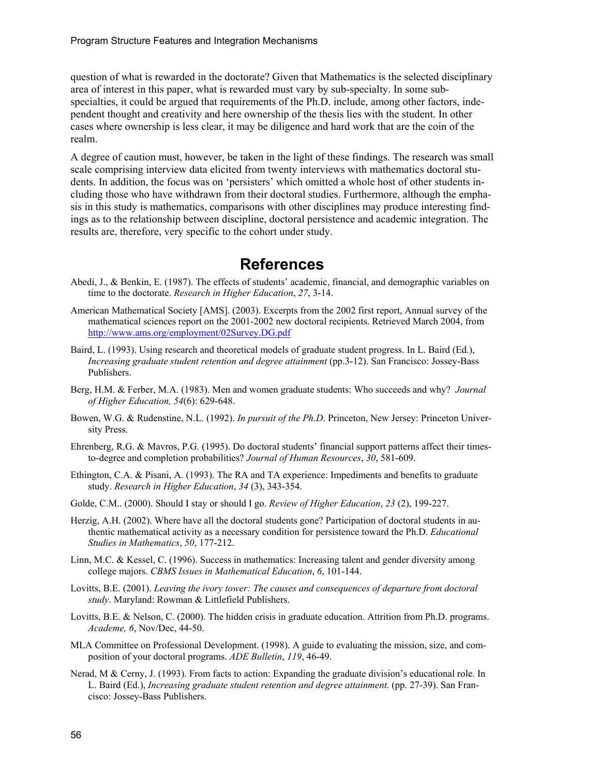question of what is rewarded in the doctorate? Given that Mathematics is the selected disciplinary area of interest in this paper, what is rewarded must vary by sub-specialty. In some subspecialties, it could be argued that requirements of the Ph.D. include, among other factors, independent thought and creativity and here ownership of the thesis lies with the student. In other cases where ownership is less clear, it may be diligence and hard work that are the coin of the realm.

A degree of caution must, however, be taken in the light of these findings. The research was small scale comprising interview data elicited from twenty interviews with mathematics doctoral students. In addition, the focus was on 'persisters' which omitted a whole host of other students including those who have withdrawn from their doctoral studies. Furthermore, although the emphasis in this study is mathematics, comparisons with other disciplines may produce interesting findings as to the relationship between discipline, doctoral persistence and academic integration. The results are, therefore, very specific to the cohort under study.

### **References**

- Abedi, J., & Benkin, E. (1987). The effects of students' academic, financial, and demographic variables on time to the doctorate. *Research in Higher Education*, *27*, 3-14.
- American Mathematical Society [AMS]. (2003). Excerpts from the 2002 first report, Annual survey of the mathematical sciences report on the 2001-2002 new doctoral recipients. Retrieved March 2004, from http://www.ams.org/employment/02Survey.DG.pdf
- Baird, L. (1993). Using research and theoretical models of graduate student progress. In L. Baird (Ed.), *Increasing graduate student retention and degree attainment* (pp.3-12). San Francisco: Jossey-Bass Publishers.
- Berg, H.M. & Ferber, M.A. (1983). Men and women graduate students: Who succeeds and why? *Journal of Higher Education, 54*(6): 629-648.
- Bowen, W.G. & Rudenstine, N.L. (1992). *In pursuit of the Ph.D*. Princeton, New Jersey: Princeton University Press.
- Ehrenberg, R.G. & Mavros, P.G. (1995). Do doctoral students' financial support patterns affect their timesto-degree and completion probabilities? *Journal of Human Resources*, *30*, 581-609.
- Ethington, C.A. & Pisani, A. (1993). The RA and TA experience: Impediments and benefits to graduate study. *Research in Higher Education*, *34* (3), 343-354.
- Golde, C.M.. (2000). Should I stay or should I go. *Review of Higher Education*, *23* (2), 199-227.
- Herzig, A.H. (2002). Where have all the doctoral students gone? Participation of doctoral students in authentic mathematical activity as a necessary condition for persistence toward the Ph.D. *Educational Studies in Mathematics*, *50*, 177-212.
- Linn, M.C. & Kessel, C. (1996). Success in mathematics: Increasing talent and gender diversity among college majors. *CBMS Issues in Mathematical Education*, *6*, 101-144.
- Lovitts, B.E. (2001). *Leaving the ivory tower: The causes and consequences of departure from doctoral study*. Maryland: Rowman & Littlefield Publishers.
- Lovitts, B.E. & Nelson, C. (2000). The hidden crisis in graduate education. Attrition from Ph.D. programs. *Academe, 6*, Nov/Dec, 44-50.
- MLA Committee on Professional Development. (1998). A guide to evaluating the mission, size, and composition of your doctoral programs. *ADE Bulletin*, *119*, 46-49.
- Nerad, M & Cerny, J. (1993). From facts to action: Expanding the graduate division's educational role. In L. Baird (Ed.), *Increasing graduate student retention and degree attainment*. (pp. 27-39). San Francisco: Jossey-Bass Publishers.